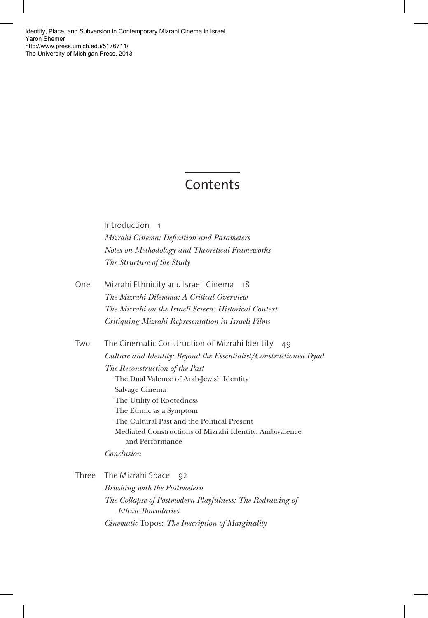[Identity, Place, and Subversion in Contemporary Mizrahi Cinema in Israel](http://www.press.umich.edu/5176711/)  Yaron Shemer http://www.press.umich.edu/5176711/ The University of Michigan Press, 2013

## Contents

Introduction 1 *Mizrahi Cinema: Definition and Parameters Notes on Methodology and Theoretical Frameworks The Structure of the Study*

- One Mizrahi Ethnicity and Israeli Cinema 18 *The Mizrahi Dilemma: A Critical Overview The Mizrahi on the Israeli Screen: Historical Context Critiquing Mizrahi Representation in Israeli Films*
- Two The Cinematic Construction of Mizrahi Identity 49 *Culture and Identity: Beyond the Essentialist/Constructionist Dyad The Reconstruction of the Past* The Dual Valence of Arab-Jewish Identity Salvage Cinema The Utility of Rootedness The Ethnic as a Symptom The Cultural Past and the Political Present Mediated Constructions of Mizrahi Identity: Ambivalence and Performance *Conclusion*

Three The Mizrahi Space 92 *Brushing with the Postmodern The Collapse of Postmodern Playfulness: The Redrawing of Ethnic Boundaries Cinematic* Topos: *The Inscription of Marginality*